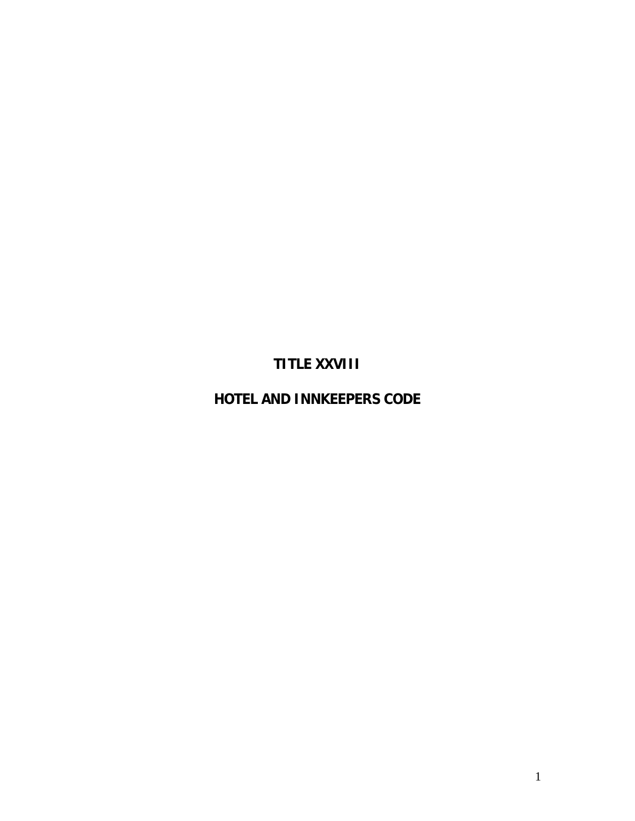# **TITLE XXVIII**

# **HOTEL AND INNKEEPERS CODE**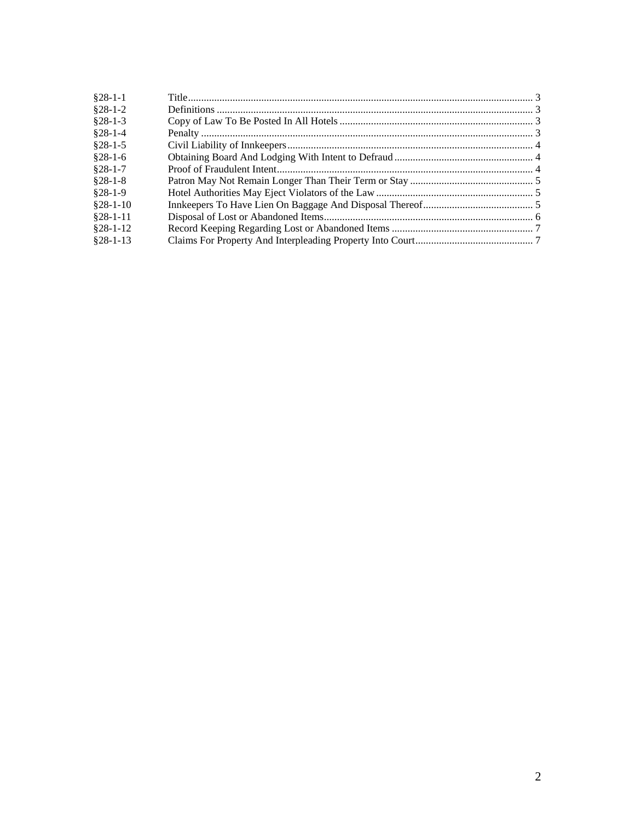| $§28-1-1$  |  |
|------------|--|
| $§28-1-2$  |  |
| $§28-1-3$  |  |
| $§28-1-4$  |  |
| $§28-1-5$  |  |
| $§28-1-6$  |  |
| $$28-1-7$  |  |
| $§28-1-8$  |  |
| $$28-1-9$  |  |
| $$28-1-10$ |  |
| $§28-1-11$ |  |
| $§28-1-12$ |  |
| $§28-1-13$ |  |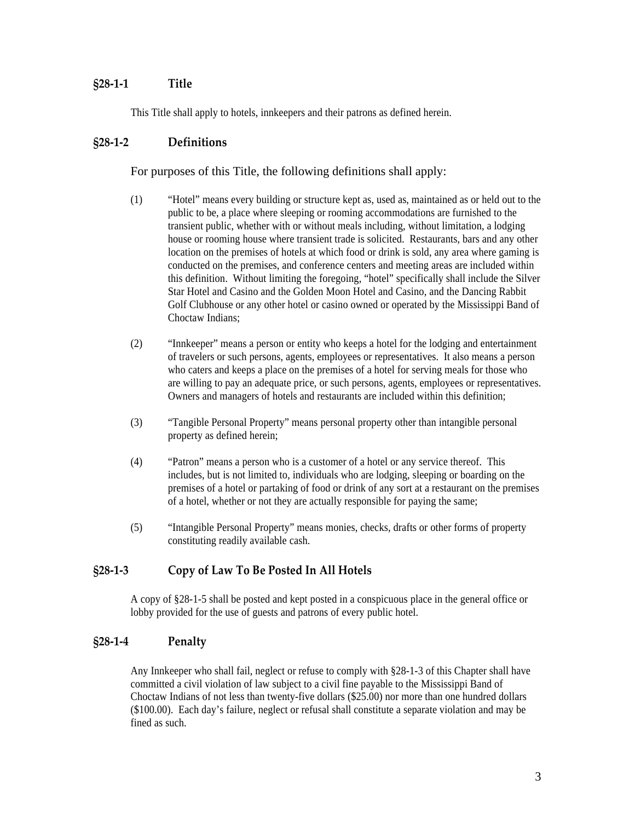## <span id="page-2-0"></span>**§28‐1‐1 Title**

This Title shall apply to hotels, innkeepers and their patrons as defined herein.

## **§28‐1‐2 Definitions**

For purposes of this Title, the following definitions shall apply:

- (1) "Hotel" means every building or structure kept as, used as, maintained as or held out to the public to be, a place where sleeping or rooming accommodations are furnished to the transient public, whether with or without meals including, without limitation, a lodging house or rooming house where transient trade is solicited. Restaurants, bars and any other location on the premises of hotels at which food or drink is sold, any area where gaming is conducted on the premises, and conference centers and meeting areas are included within this definition. Without limiting the foregoing, "hotel" specifically shall include the Silver Star Hotel and Casino and the Golden Moon Hotel and Casino, and the Dancing Rabbit Golf Clubhouse or any other hotel or casino owned or operated by the Mississippi Band of Choctaw Indians;
- (2) "Innkeeper" means a person or entity who keeps a hotel for the lodging and entertainment of travelers or such persons, agents, employees or representatives. It also means a person who caters and keeps a place on the premises of a hotel for serving meals for those who are willing to pay an adequate price, or such persons, agents, employees or representatives. Owners and managers of hotels and restaurants are included within this definition;
- (3) "Tangible Personal Property" means personal property other than intangible personal property as defined herein;
- (4) "Patron" means a person who is a customer of a hotel or any service thereof. This includes, but is not limited to, individuals who are lodging, sleeping or boarding on the premises of a hotel or partaking of food or drink of any sort at a restaurant on the premises of a hotel, whether or not they are actually responsible for paying the same;
- (5) "Intangible Personal Property" means monies, checks, drafts or other forms of property constituting readily available cash.

#### **§28‐1‐3 Copy of Law To Be Posted In All Hotels**

A copy of §28-1-5 shall be posted and kept posted in a conspicuous place in the general office or lobby provided for the use of guests and patrons of every public hotel.

#### **§28‐1‐4 Penalty**

Any Innkeeper who shall fail, neglect or refuse to comply with §28-1-3 of this Chapter shall have committed a civil violation of law subject to a civil fine payable to the Mississippi Band of Choctaw Indians of not less than twenty-five dollars (\$25.00) nor more than one hundred dollars (\$100.00). Each day's failure, neglect or refusal shall constitute a separate violation and may be fined as such.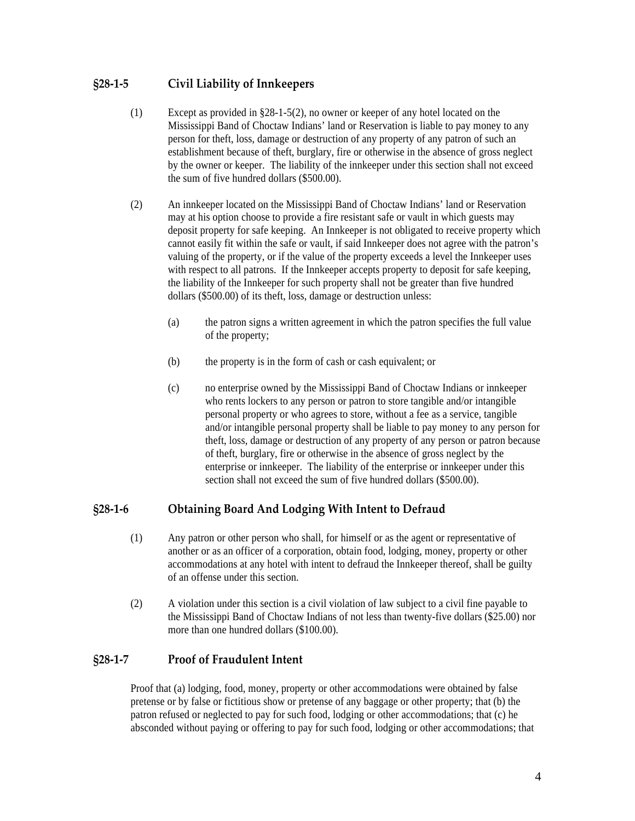# <span id="page-3-0"></span>**§28‐1‐5 Civil Liability of Innkeepers**

- (1) Except as provided in §28-1-5(2), no owner or keeper of any hotel located on the Mississippi Band of Choctaw Indians' land or Reservation is liable to pay money to any person for theft, loss, damage or destruction of any property of any patron of such an establishment because of theft, burglary, fire or otherwise in the absence of gross neglect by the owner or keeper. The liability of the innkeeper under this section shall not exceed the sum of five hundred dollars (\$500.00).
- (2) An innkeeper located on the Mississippi Band of Choctaw Indians' land or Reservation may at his option choose to provide a fire resistant safe or vault in which guests may deposit property for safe keeping. An Innkeeper is not obligated to receive property which cannot easily fit within the safe or vault, if said Innkeeper does not agree with the patron's valuing of the property, or if the value of the property exceeds a level the Innkeeper uses with respect to all patrons. If the Innkeeper accepts property to deposit for safe keeping, the liability of the Innkeeper for such property shall not be greater than five hundred dollars (\$500.00) of its theft, loss, damage or destruction unless:
	- (a) the patron signs a written agreement in which the patron specifies the full value of the property;
	- (b) the property is in the form of cash or cash equivalent; or
	- (c) no enterprise owned by the Mississippi Band of Choctaw Indians or innkeeper who rents lockers to any person or patron to store tangible and/or intangible personal property or who agrees to store, without a fee as a service, tangible and/or intangible personal property shall be liable to pay money to any person for theft, loss, damage or destruction of any property of any person or patron because of theft, burglary, fire or otherwise in the absence of gross neglect by the enterprise or innkeeper. The liability of the enterprise or innkeeper under this section shall not exceed the sum of five hundred dollars (\$500.00).

# **§28‐1‐6 Obtaining Board And Lodging With Intent to Defraud**

- (1) Any patron or other person who shall, for himself or as the agent or representative of another or as an officer of a corporation, obtain food, lodging, money, property or other accommodations at any hotel with intent to defraud the Innkeeper thereof, shall be guilty of an offense under this section.
- (2) A violation under this section is a civil violation of law subject to a civil fine payable to the Mississippi Band of Choctaw Indians of not less than twenty-five dollars (\$25.00) nor more than one hundred dollars (\$100.00).

#### **§28‐1‐7 Proof of Fraudulent Intent**

Proof that (a) lodging, food, money, property or other accommodations were obtained by false pretense or by false or fictitious show or pretense of any baggage or other property; that (b) the patron refused or neglected to pay for such food, lodging or other accommodations; that (c) he absconded without paying or offering to pay for such food, lodging or other accommodations; that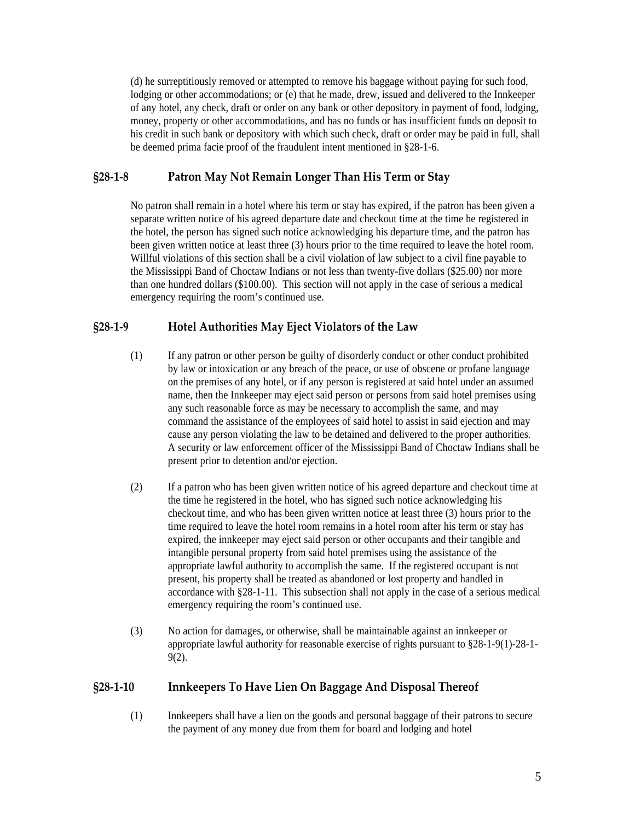<span id="page-4-0"></span>(d) he surreptitiously removed or attempted to remove his baggage without paying for such food, lodging or other accommodations; or (e) that he made, drew, issued and delivered to the Innkeeper of any hotel, any check, draft or order on any bank or other depository in payment of food, lodging, money, property or other accommodations, and has no funds or has insufficient funds on deposit to his credit in such bank or depository with which such check, draft or order may be paid in full, shall be deemed prima facie proof of the fraudulent intent mentioned in §28-1-6.

## **§28‐1‐8 Patron May Not Remain Longer Than His Term or Stay**

No patron shall remain in a hotel where his term or stay has expired, if the patron has been given a separate written notice of his agreed departure date and checkout time at the time he registered in the hotel, the person has signed such notice acknowledging his departure time, and the patron has been given written notice at least three (3) hours prior to the time required to leave the hotel room. Willful violations of this section shall be a civil violation of law subject to a civil fine payable to the Mississippi Band of Choctaw Indians or not less than twenty-five dollars (\$25.00) nor more than one hundred dollars (\$100.00). This section will not apply in the case of serious a medical emergency requiring the room's continued use.

# **§28‐1‐9 Hotel Authorities May Eject Violators of the Law**

- (1) If any patron or other person be guilty of disorderly conduct or other conduct prohibited by law or intoxication or any breach of the peace, or use of obscene or profane language on the premises of any hotel, or if any person is registered at said hotel under an assumed name, then the Innkeeper may eject said person or persons from said hotel premises using any such reasonable force as may be necessary to accomplish the same, and may command the assistance of the employees of said hotel to assist in said ejection and may cause any person violating the law to be detained and delivered to the proper authorities. A security or law enforcement officer of the Mississippi Band of Choctaw Indians shall be present prior to detention and/or ejection.
- (2) If a patron who has been given written notice of his agreed departure and checkout time at the time he registered in the hotel, who has signed such notice acknowledging his checkout time, and who has been given written notice at least three (3) hours prior to the time required to leave the hotel room remains in a hotel room after his term or stay has expired, the innkeeper may eject said person or other occupants and their tangible and intangible personal property from said hotel premises using the assistance of the appropriate lawful authority to accomplish the same. If the registered occupant is not present, his property shall be treated as abandoned or lost property and handled in accordance with §28-1-11. This subsection shall not apply in the case of a serious medical emergency requiring the room's continued use.
- (3) No action for damages, or otherwise, shall be maintainable against an innkeeper or appropriate lawful authority for reasonable exercise of rights pursuant to §28-1-9(1)-28-1- 9(2).

# **§28‐1‐10 Innkeepers To Have Lien On Baggage And Disposal Thereof**

(1) Innkeepers shall have a lien on the goods and personal baggage of their patrons to secure the payment of any money due from them for board and lodging and hotel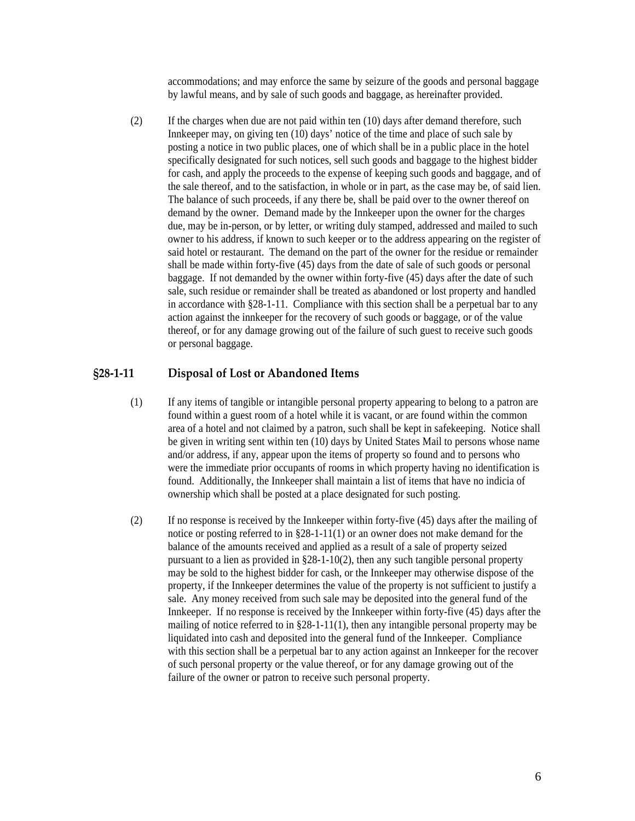accommodations; and may enforce the same by seizure of the goods and personal baggage by lawful means, and by sale of such goods and baggage, as hereinafter provided.

<span id="page-5-0"></span>(2) If the charges when due are not paid within ten (10) days after demand therefore, such Innkeeper may, on giving ten (10) days' notice of the time and place of such sale by posting a notice in two public places, one of which shall be in a public place in the hotel specifically designated for such notices, sell such goods and baggage to the highest bidder for cash, and apply the proceeds to the expense of keeping such goods and baggage, and of the sale thereof, and to the satisfaction, in whole or in part, as the case may be, of said lien. The balance of such proceeds, if any there be, shall be paid over to the owner thereof on demand by the owner. Demand made by the Innkeeper upon the owner for the charges due, may be in-person, or by letter, or writing duly stamped, addressed and mailed to such owner to his address, if known to such keeper or to the address appearing on the register of said hotel or restaurant. The demand on the part of the owner for the residue or remainder shall be made within forty-five (45) days from the date of sale of such goods or personal baggage. If not demanded by the owner within forty-five (45) days after the date of such sale, such residue or remainder shall be treated as abandoned or lost property and handled in accordance with §28-1-11. Compliance with this section shall be a perpetual bar to any action against the innkeeper for the recovery of such goods or baggage, or of the value thereof, or for any damage growing out of the failure of such guest to receive such goods or personal baggage.

#### **§28‐1‐11 Disposal of Lost or Abandoned Items**

- (1) If any items of tangible or intangible personal property appearing to belong to a patron are found within a guest room of a hotel while it is vacant, or are found within the common area of a hotel and not claimed by a patron, such shall be kept in safekeeping. Notice shall be given in writing sent within ten (10) days by United States Mail to persons whose name and/or address, if any, appear upon the items of property so found and to persons who were the immediate prior occupants of rooms in which property having no identification is found. Additionally, the Innkeeper shall maintain a list of items that have no indicia of ownership which shall be posted at a place designated for such posting.
- (2) If no response is received by the Innkeeper within forty-five (45) days after the mailing of notice or posting referred to in §28-1-11(1) or an owner does not make demand for the balance of the amounts received and applied as a result of a sale of property seized pursuant to a lien as provided in §28-1-10(2), then any such tangible personal property may be sold to the highest bidder for cash, or the Innkeeper may otherwise dispose of the property, if the Innkeeper determines the value of the property is not sufficient to justify a sale. Any money received from such sale may be deposited into the general fund of the Innkeeper. If no response is received by the Innkeeper within forty-five (45) days after the mailing of notice referred to in §28-1-11(1), then any intangible personal property may be liquidated into cash and deposited into the general fund of the Innkeeper. Compliance with this section shall be a perpetual bar to any action against an Innkeeper for the recover of such personal property or the value thereof, or for any damage growing out of the failure of the owner or patron to receive such personal property.